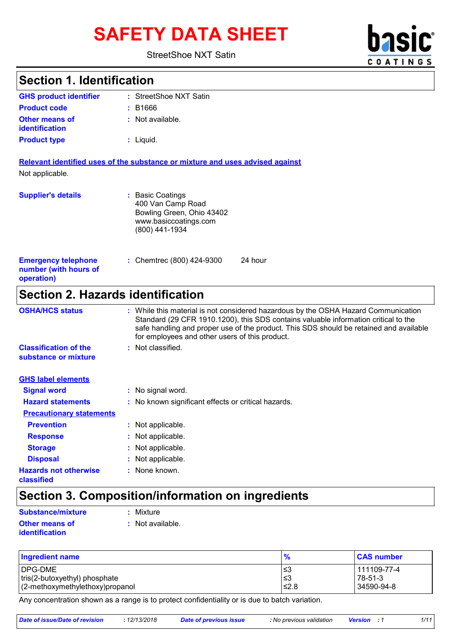# SAFETY DATA SHEET **basic**

#### StreetShoe NXT Satin

| <b>Section 1. Identification</b>                                  |                                                                                                               |
|-------------------------------------------------------------------|---------------------------------------------------------------------------------------------------------------|
| <b>GHS product identifier</b>                                     | : StreetShoe NXT Satin                                                                                        |
| <b>Product code</b>                                               | : B1666                                                                                                       |
| <b>Other means of</b><br>identification                           | : Not available.                                                                                              |
| <b>Product type</b>                                               | $:$ Liquid.                                                                                                   |
| Not applicable.                                                   | Relevant identified uses of the substance or mixture and uses advised against                                 |
| <b>Supplier's details</b>                                         | : Basic Coatings<br>400 Van Camp Road<br>Bowling Green, Ohio 43402<br>www.basiccoatings.com<br>(800) 441-1934 |
| <b>Emergency telephone</b><br>number (with hours of<br>operation) | : Chemtrec (800) 424-9300<br>24 hour                                                                          |
| <b>Section 2. Hazards identification</b>                          |                                                                                                               |
| <b>OSHA/HCS status</b>                                            | : While this material is not considered hazardous by the OSHA Hazard Communication                            |

**COATINGS** 

| <b>USHAIRUS STATUS</b>                               | <u>VIDE UN STRATEGINI IS NOT CONSIDER OF NEXTIGOUS DY THE OSHA HAZARD CONTINUING AND I</u><br>Standard (29 CFR 1910.1200), this SDS contains valuable information critical to the<br>safe handling and proper use of the product. This SDS should be retained and available<br>for employees and other users of this product. |
|------------------------------------------------------|-------------------------------------------------------------------------------------------------------------------------------------------------------------------------------------------------------------------------------------------------------------------------------------------------------------------------------|
| <b>Classification of the</b><br>substance or mixture | : Not classified.                                                                                                                                                                                                                                                                                                             |
| <b>GHS label elements</b>                            |                                                                                                                                                                                                                                                                                                                               |
| <b>Signal word</b>                                   | : No signal word.                                                                                                                                                                                                                                                                                                             |
| <b>Hazard statements</b>                             | : No known significant effects or critical hazards.                                                                                                                                                                                                                                                                           |
| <b>Precautionary statements</b>                      |                                                                                                                                                                                                                                                                                                                               |
| <b>Prevention</b>                                    | : Not applicable.                                                                                                                                                                                                                                                                                                             |
| <b>Response</b>                                      | : Not applicable.                                                                                                                                                                                                                                                                                                             |
| <b>Storage</b>                                       | : Not applicable.                                                                                                                                                                                                                                                                                                             |
| <b>Disposal</b>                                      | : Not applicable.                                                                                                                                                                                                                                                                                                             |
| <b>Hazards not otherwise</b><br>classified           | : None known.                                                                                                                                                                                                                                                                                                                 |

# **Section 3. Composition/information on ingredients**

| Substance/mixture                       | : Mixture          |
|-----------------------------------------|--------------------|
| <b>Other means of</b><br>identification | $:$ Not available. |

| <b>Ingredient name</b>              | $\frac{1}{2}$ | <b>CAS number</b> |
|-------------------------------------|---------------|-------------------|
| <b>IDPG-DME</b>                     | l≤3           | l 111109-77-4     |
| tris(2-butoxyethyl) phosphate       | l≤3           | $178 - 51 - 3$    |
| $(2$ -methoxymethylethoxy) propanol | ≤2.8          | l 34590-94-8      |

Any concentration shown as a range is to protect confidentiality or is due to batch variation.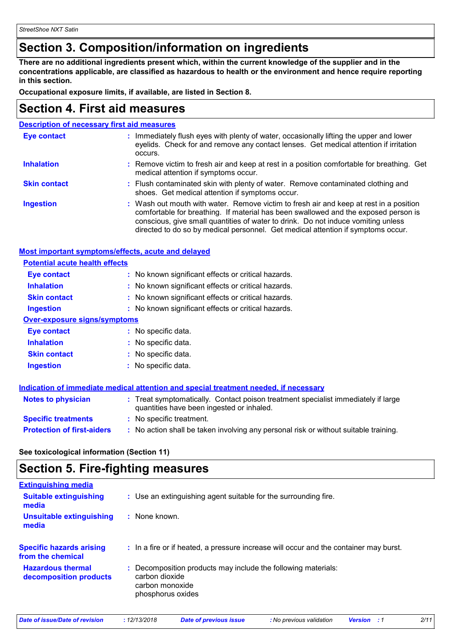# **Section 3. Composition/information on ingredients**

**There are no additional ingredients present which, within the current knowledge of the supplier and in the concentrations applicable, are classified as hazardous to health or the environment and hence require reporting in this section.**

**Occupational exposure limits, if available, are listed in Section 8.**

### **Section 4. First aid measures**

| <b>Description of necessary first aid measures</b> |                                                                                                                                                                                                                                                                                                                                                        |  |
|----------------------------------------------------|--------------------------------------------------------------------------------------------------------------------------------------------------------------------------------------------------------------------------------------------------------------------------------------------------------------------------------------------------------|--|
| <b>Eye contact</b>                                 | : Immediately flush eyes with plenty of water, occasionally lifting the upper and lower<br>eyelids. Check for and remove any contact lenses. Get medical attention if irritation<br>occurs.                                                                                                                                                            |  |
| <b>Inhalation</b>                                  | : Remove victim to fresh air and keep at rest in a position comfortable for breathing. Get<br>medical attention if symptoms occur.                                                                                                                                                                                                                     |  |
| <b>Skin contact</b>                                | : Flush contaminated skin with plenty of water. Remove contaminated clothing and<br>shoes. Get medical attention if symptoms occur.                                                                                                                                                                                                                    |  |
| <b>Ingestion</b>                                   | : Wash out mouth with water. Remove victim to fresh air and keep at rest in a position<br>comfortable for breathing. If material has been swallowed and the exposed person is<br>conscious, give small quantities of water to drink. Do not induce vomiting unless<br>directed to do so by medical personnel. Get medical attention if symptoms occur. |  |

#### **Most important symptoms/effects, acute and delayed**

| <b>Potential acute health effects</b> |                                                                                      |
|---------------------------------------|--------------------------------------------------------------------------------------|
| Eye contact                           | : No known significant effects or critical hazards.                                  |
| <b>Inhalation</b>                     | : No known significant effects or critical hazards.                                  |
| <b>Skin contact</b>                   | : No known significant effects or critical hazards.                                  |
| <b>Ingestion</b>                      | : No known significant effects or critical hazards.                                  |
| <b>Over-exposure signs/symptoms</b>   |                                                                                      |
| Eye contact                           | : No specific data.                                                                  |
| <b>Inhalation</b>                     | : No specific data.                                                                  |
| <b>Skin contact</b>                   | : No specific data.                                                                  |
| <b>Ingestion</b>                      | : No specific data.                                                                  |
|                                       |                                                                                      |
|                                       | Indication of immediate medical attention and special treatment needed, if necessary |

| <b>Notes to physician</b>         | : Treat symptomatically. Contact poison treatment specialist immediately if large<br>quantities have been ingested or inhaled. |
|-----------------------------------|--------------------------------------------------------------------------------------------------------------------------------|
| <b>Specific treatments</b>        | : No specific treatment.                                                                                                       |
| <b>Protection of first-aiders</b> | No action shall be taken involving any personal risk or without suitable training.                                             |

**See toxicological information (Section 11)**

### **Section 5. Fire-fighting measures**

| <b>Extinguishing media</b>                           |                                                                                                                         |
|------------------------------------------------------|-------------------------------------------------------------------------------------------------------------------------|
| <b>Suitable extinguishing</b><br>media               | : Use an extinguishing agent suitable for the surrounding fire.                                                         |
| Unsuitable extinguishing<br>media                    | $\therefore$ None known.                                                                                                |
| <b>Specific hazards arising</b><br>from the chemical | : In a fire or if heated, a pressure increase will occur and the container may burst.                                   |
| <b>Hazardous thermal</b><br>decomposition products   | : Decomposition products may include the following materials:<br>carbon dioxide<br>carbon monoxide<br>phosphorus oxides |

| Date of issue/Date of revision | 12/13/2018 | Date of previous issue | : No previous validation | <b>Version</b> | 2/11 |
|--------------------------------|------------|------------------------|--------------------------|----------------|------|
|                                |            |                        |                          |                |      |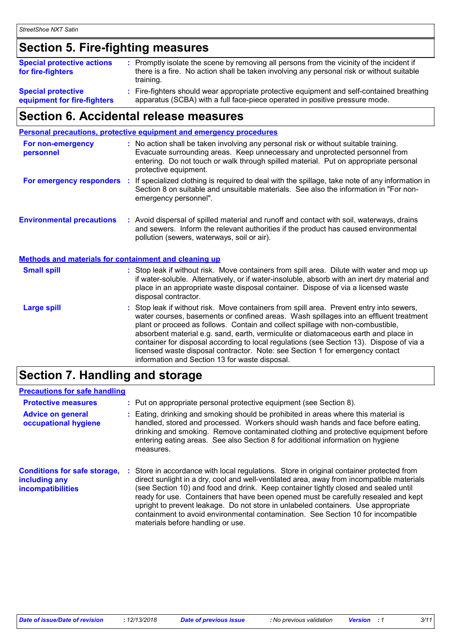# **Section 5. Fire-fighting measures**

| <b>Special protective actions</b><br>for fire-fighters   | : Promptly isolate the scene by removing all persons from the vicinity of the incident if<br>there is a fire. No action shall be taken involving any personal risk or without suitable<br>training. |
|----------------------------------------------------------|-----------------------------------------------------------------------------------------------------------------------------------------------------------------------------------------------------|
| <b>Special protective</b><br>equipment for fire-fighters | : Fire-fighters should wear appropriate protective equipment and self-contained breathing<br>apparatus (SCBA) with a full face-piece operated in positive pressure mode.                            |

# **Section 6. Accidental release measures**

|                                                              | Personal precautions, protective equipment and emergency procedures                                                                                                                                                                                                                                                                                                                                                                                                                                                                                                                        |
|--------------------------------------------------------------|--------------------------------------------------------------------------------------------------------------------------------------------------------------------------------------------------------------------------------------------------------------------------------------------------------------------------------------------------------------------------------------------------------------------------------------------------------------------------------------------------------------------------------------------------------------------------------------------|
| For non-emergency<br>personnel                               | : No action shall be taken involving any personal risk or without suitable training.<br>Evacuate surrounding areas. Keep unnecessary and unprotected personnel from<br>entering. Do not touch or walk through spilled material. Put on appropriate personal<br>protective equipment.                                                                                                                                                                                                                                                                                                       |
|                                                              | For emergency responders : If specialized clothing is required to deal with the spillage, take note of any information in<br>Section 8 on suitable and unsuitable materials. See also the information in "For non-<br>emergency personnel".                                                                                                                                                                                                                                                                                                                                                |
| <b>Environmental precautions</b>                             | : Avoid dispersal of spilled material and runoff and contact with soil, waterways, drains<br>and sewers. Inform the relevant authorities if the product has caused environmental<br>pollution (sewers, waterways, soil or air).                                                                                                                                                                                                                                                                                                                                                            |
| <b>Methods and materials for containment and cleaning up</b> |                                                                                                                                                                                                                                                                                                                                                                                                                                                                                                                                                                                            |
| <b>Small spill</b>                                           | : Stop leak if without risk. Move containers from spill area. Dilute with water and mop up<br>if water-soluble. Alternatively, or if water-insoluble, absorb with an inert dry material and<br>place in an appropriate waste disposal container. Dispose of via a licensed waste<br>disposal contractor.                                                                                                                                                                                                                                                                                   |
| <b>Large spill</b>                                           | : Stop leak if without risk. Move containers from spill area. Prevent entry into sewers,<br>water courses, basements or confined areas. Wash spillages into an effluent treatment<br>plant or proceed as follows. Contain and collect spillage with non-combustible,<br>absorbent material e.g. sand, earth, vermiculite or diatomaceous earth and place in<br>container for disposal according to local regulations (see Section 13). Dispose of via a<br>licensed waste disposal contractor. Note: see Section 1 for emergency contact<br>information and Section 13 for waste disposal. |

# **Section 7. Handling and storage**

#### **Precautions for safe handling**

| <b>Protective measures</b><br><b>Advice on general</b><br>occupational hygiene   | ÷. | : Put on appropriate personal protective equipment (see Section 8).<br>Eating, drinking and smoking should be prohibited in areas where this material is<br>handled, stored and processed. Workers should wash hands and face before eating,<br>drinking and smoking. Remove contaminated clothing and protective equipment before<br>entering eating areas. See also Section 8 for additional information on hygiene<br>measures.                                                                                                                                               |
|----------------------------------------------------------------------------------|----|----------------------------------------------------------------------------------------------------------------------------------------------------------------------------------------------------------------------------------------------------------------------------------------------------------------------------------------------------------------------------------------------------------------------------------------------------------------------------------------------------------------------------------------------------------------------------------|
| <b>Conditions for safe storage,</b><br>including any<br><b>incompatibilities</b> | п. | Store in accordance with local regulations. Store in original container protected from<br>direct sunlight in a dry, cool and well-ventilated area, away from incompatible materials<br>(see Section 10) and food and drink. Keep container tightly closed and sealed until<br>ready for use. Containers that have been opened must be carefully resealed and kept<br>upright to prevent leakage. Do not store in unlabeled containers. Use appropriate<br>containment to avoid environmental contamination. See Section 10 for incompatible<br>materials before handling or use. |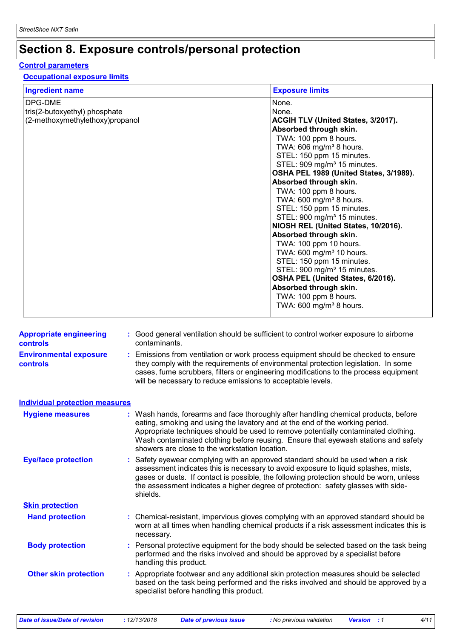# **Section 8. Exposure controls/personal protection**

#### **Control parameters**

#### **Occupational exposure limits**

| <b>Ingredient name</b>          | <b>Exposure limits</b>                  |
|---------------------------------|-----------------------------------------|
| DPG-DME                         | None.                                   |
| tris(2-butoxyethyl) phosphate   | None.                                   |
| (2-methoxymethylethoxy)propanol | ACGIH TLV (United States, 3/2017).      |
|                                 | Absorbed through skin.                  |
|                                 | TWA: 100 ppm 8 hours.                   |
|                                 | TWA: 606 mg/m <sup>3</sup> 8 hours.     |
|                                 | STEL: 150 ppm 15 minutes.               |
|                                 | STEL: 909 mg/m <sup>3</sup> 15 minutes. |
|                                 | OSHA PEL 1989 (United States, 3/1989).  |
|                                 | Absorbed through skin.                  |
|                                 | TWA: 100 ppm 8 hours.                   |
|                                 | TWA: 600 mg/m <sup>3</sup> 8 hours.     |
|                                 | STEL: 150 ppm 15 minutes.               |
|                                 | STEL: 900 mg/m <sup>3</sup> 15 minutes. |
|                                 | NIOSH REL (United States, 10/2016).     |
|                                 | Absorbed through skin.                  |
|                                 | TWA: 100 ppm 10 hours.                  |
|                                 | TWA: 600 mg/m <sup>3</sup> 10 hours.    |
|                                 | STEL: 150 ppm 15 minutes.               |
|                                 | STEL: 900 mg/m <sup>3</sup> 15 minutes. |
|                                 | OSHA PEL (United States, 6/2016).       |
|                                 | Absorbed through skin.                  |
|                                 | TWA: 100 ppm 8 hours.                   |
|                                 | TWA: $600 \text{ mg/m}^3$ 8 hours.      |
|                                 |                                         |

| <b>Appropriate engineering</b><br><b>controls</b> | Good general ventilation should be sufficient to control worker exposure to airborne<br>contaminants.                                                                                                                                                                                                                                                                                             |
|---------------------------------------------------|---------------------------------------------------------------------------------------------------------------------------------------------------------------------------------------------------------------------------------------------------------------------------------------------------------------------------------------------------------------------------------------------------|
| <b>Environmental exposure</b><br><b>controls</b>  | : Emissions from ventilation or work process equipment should be checked to ensure<br>they comply with the requirements of environmental protection legislation. In some<br>cases, fume scrubbers, filters or engineering modifications to the process equipment<br>will be necessary to reduce emissions to acceptable levels.                                                                   |
| <b>Individual protection measures</b>             |                                                                                                                                                                                                                                                                                                                                                                                                   |
| <b>Hygiene measures</b>                           | : Wash hands, forearms and face thoroughly after handling chemical products, before<br>eating, smoking and using the lavatory and at the end of the working period.<br>Appropriate techniques should be used to remove potentially contaminated clothing.<br>Wash contaminated clothing before reusing. Ensure that eyewash stations and safety<br>showers are close to the workstation location. |
| <b>Eye/face protection</b>                        | Safety eyewear complying with an approved standard should be used when a risk<br>assessment indicates this is necessary to avoid exposure to liquid splashes, mists,<br>gases or dusts. If contact is possible, the following protection should be worn, unless<br>the assessment indicates a higher degree of protection: safety glasses with side-<br>shields.                                  |
| <b>Skin protection</b>                            |                                                                                                                                                                                                                                                                                                                                                                                                   |
| <b>Hand protection</b>                            | : Chemical-resistant, impervious gloves complying with an approved standard should be<br>worn at all times when handling chemical products if a risk assessment indicates this is<br>necessary.                                                                                                                                                                                                   |
| <b>Body protection</b>                            | : Personal protective equipment for the body should be selected based on the task being<br>performed and the risks involved and should be approved by a specialist before<br>handling this product.                                                                                                                                                                                               |
| <b>Other skin protection</b>                      | : Appropriate footwear and any additional skin protection measures should be selected<br>based on the task being performed and the risks involved and should be approved by a<br>specialist before handling this product.                                                                                                                                                                         |

*Date of issue/Date of revision* **:** *12/13/2018 Date of previous issue : No previous validation Version : 1 4/11*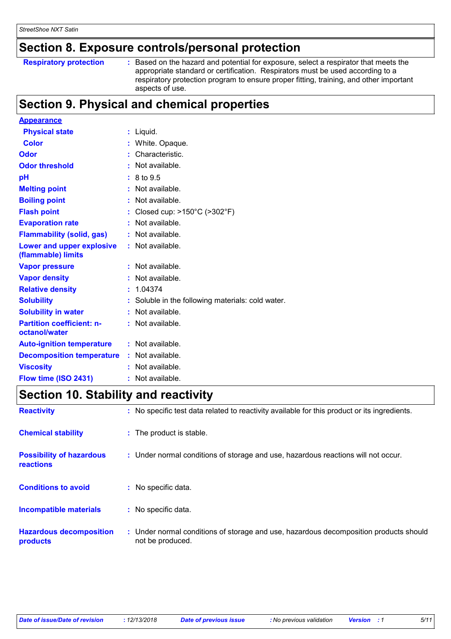### **Section 8. Exposure controls/personal protection**

#### **Respiratory protection :**

Based on the hazard and potential for exposure, select a respirator that meets the appropriate standard or certification. Respirators must be used according to a respiratory protection program to ensure proper fitting, training, and other important aspects of use.

# **Section 9. Physical and chemical properties**

| <b>Appearance</b>                                 |                                                   |
|---------------------------------------------------|---------------------------------------------------|
| <b>Physical state</b>                             | $:$ Liquid.                                       |
| <b>Color</b>                                      | : White. Opaque.                                  |
| Odor                                              | Characteristic.                                   |
| <b>Odor threshold</b>                             | $:$ Not available.                                |
| рH                                                | $: 8 \text{ to } 9.5$                             |
| <b>Melting point</b>                              | Not available.                                    |
| <b>Boiling point</b>                              | $:$ Not available.                                |
| <b>Flash point</b>                                | Closed cup: $>150^{\circ}$ C ( $>302^{\circ}$ F)  |
| <b>Evaporation rate</b>                           | Not available.                                    |
| <b>Flammability (solid, gas)</b>                  | $:$ Not available.                                |
| Lower and upper explosive<br>(flammable) limits   | $:$ Not available.                                |
| <b>Vapor pressure</b>                             | Not available.                                    |
| <b>Vapor density</b>                              | Not available.                                    |
| <b>Relative density</b>                           | 1.04374                                           |
| <b>Solubility</b>                                 | : Soluble in the following materials: cold water. |
| <b>Solubility in water</b>                        | : Not available.                                  |
| <b>Partition coefficient: n-</b><br>octanol/water | : Not available.                                  |
| <b>Auto-ignition temperature</b>                  | $:$ Not available.                                |
| <b>Decomposition temperature</b>                  | : Not available.                                  |
| <b>Viscosity</b>                                  | Not available.                                    |
| Flow time (ISO 2431)                              | $:$ Not available.                                |

# **Section 10. Stability and reactivity**

| <b>Reactivity</b>                                   | : No specific test data related to reactivity available for this product or its ingredients.              |
|-----------------------------------------------------|-----------------------------------------------------------------------------------------------------------|
| <b>Chemical stability</b>                           | : The product is stable.                                                                                  |
| <b>Possibility of hazardous</b><br><b>reactions</b> | : Under normal conditions of storage and use, hazardous reactions will not occur.                         |
| <b>Conditions to avoid</b>                          | : No specific data.                                                                                       |
| <b>Incompatible materials</b>                       | : No specific data.                                                                                       |
| <b>Hazardous decomposition</b><br>products          | : Under normal conditions of storage and use, hazardous decomposition products should<br>not be produced. |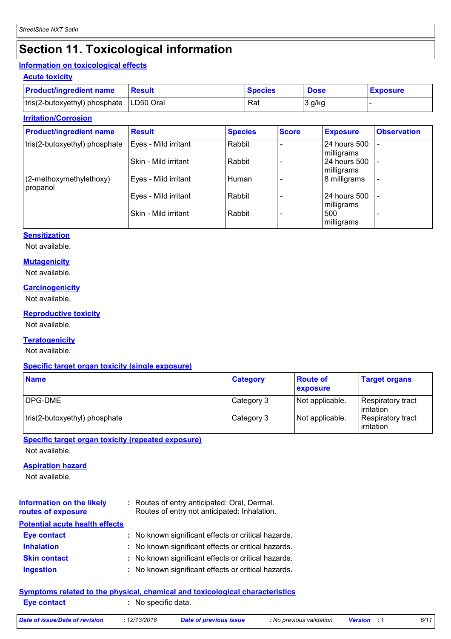# **Section 11. Toxicological information**

#### **Information on toxicological effects**

| <b>Acute toxicity</b>                     |               |                |             |                 |
|-------------------------------------------|---------------|----------------|-------------|-----------------|
| <b>Product/ingredient name</b>            | <b>Result</b> | <b>Species</b> | <b>Dose</b> | <b>Exposure</b> |
| tris(2-butoxyethyl) phosphate   LD50 Oral |               | Rat            | 3 g/kg      |                 |

| <b>Irritation/Corrosion</b>         |                      |                |              |                            |                          |
|-------------------------------------|----------------------|----------------|--------------|----------------------------|--------------------------|
| <b>Product/ingredient name</b>      | <b>Result</b>        | <b>Species</b> | <b>Score</b> | <b>Exposure</b>            | <b>Observation</b>       |
| tris(2-butoxyethyl) phosphate       | Eyes - Mild irritant | Rabbit         |              | 24 hours 500<br>milligrams |                          |
|                                     | Skin - Mild irritant | Rabbit         |              | 24 hours 500<br>milligrams | $\overline{\phantom{a}}$ |
| (2-methoxymethylethoxy)<br>propanol | Eyes - Mild irritant | Human          |              | 8 milligrams               | $\overline{\phantom{a}}$ |
|                                     | Eyes - Mild irritant | Rabbit         |              | 24 hours 500<br>milligrams |                          |
|                                     | Skin - Mild irritant | Rabbit         |              | 500<br>milligrams          |                          |

#### **Sensitization**

Not available.

#### **Mutagenicity**

Not available.

#### **Carcinogenicity**

Not available.

#### **Reproductive toxicity**

Not available.

#### **Teratogenicity**

Not available.

#### **Specific target organ toxicity (single exposure)**

| <b>Name</b>                   | <b>Category</b> | <b>Route of</b><br><b>exposure</b> | <b>Target organs</b>             |
|-------------------------------|-----------------|------------------------------------|----------------------------------|
| <b>IDPG-DME</b>               | Category 3      | Not applicable.                    | Respiratory tract<br>lirritation |
| tris(2-butoxyethyl) phosphate | Category 3      | Not applicable.                    | Respiratory tract<br>lirritation |

#### **Specific target organ toxicity (repeated exposure)**

Not available.

#### **Aspiration hazard**

Not available.

| <b>Information on the likely</b><br>routes of exposure | : Routes of entry anticipated: Oral, Dermal.<br>Routes of entry not anticipated: Inhalation. |
|--------------------------------------------------------|----------------------------------------------------------------------------------------------|
| <b>Potential acute health effects</b>                  |                                                                                              |
| <b>Eye contact</b>                                     | : No known significant effects or critical hazards.                                          |
| <b>Inhalation</b>                                      | : No known significant effects or critical hazards.                                          |
| <b>Skin contact</b>                                    | : No known significant effects or critical hazards.                                          |
| <b>Ingestion</b>                                       | : No known significant effects or critical hazards.                                          |

#### **Symptoms related to the physical, chemical and toxicological characteristics**

| <b>Eve contact</b>             | : No specific data. |                        |                          |                    |      |
|--------------------------------|---------------------|------------------------|--------------------------|--------------------|------|
| Date of issue/Date of revision | : 12/13/2018        | Date of previous issue | : No previous validation | <b>Version</b> : 1 | 6/11 |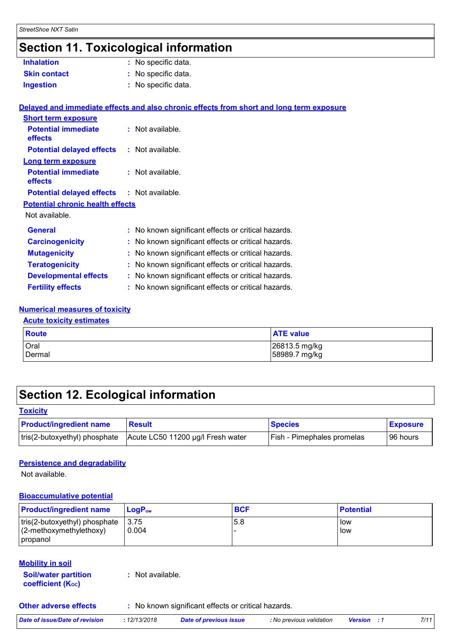# **Section 11. Toxicological information**

| <b>Inhalation</b>                                 | : No specific data.                                                                      |  |
|---------------------------------------------------|------------------------------------------------------------------------------------------|--|
| <b>Skin contact</b>                               | : No specific data.                                                                      |  |
| <b>Ingestion</b>                                  | : No specific data.                                                                      |  |
|                                                   |                                                                                          |  |
|                                                   | Delayed and immediate effects and also chronic effects from short and long term exposure |  |
| <b>Short term exposure</b>                        |                                                                                          |  |
| <b>Potential immediate</b><br>effects             | : Not available.                                                                         |  |
| <b>Potential delayed effects</b>                  | : Not available.                                                                         |  |
| Long term exposure                                |                                                                                          |  |
| <b>Potential immediate</b><br>effects             | : Not available.                                                                         |  |
| <b>Potential delayed effects : Not available.</b> |                                                                                          |  |
| <b>Potential chronic health effects</b>           |                                                                                          |  |
| Not available.                                    |                                                                                          |  |
| <b>General</b>                                    | : No known significant effects or critical hazards.                                      |  |
| <b>Carcinogenicity</b>                            | : No known significant effects or critical hazards.                                      |  |
| <b>Mutagenicity</b>                               | : No known significant effects or critical hazards.                                      |  |
| <b>Teratogenicity</b>                             | : No known significant effects or critical hazards.                                      |  |
| <b>Developmental effects</b>                      | : No known significant effects or critical hazards.                                      |  |
| <b>Fertility effects</b>                          | : No known significant effects or critical hazards.                                      |  |
|                                                   |                                                                                          |  |

#### **Numerical measures of toxicity**

#### **Acute toxicity estimates**

| <b>Route</b> | <b>ATE</b> value |
|--------------|------------------|
| Oral         | 26813.5 mg/kg    |
| Dermal       | 58989.7 mg/kg    |

# **Section 12. Ecological information**

#### **Toxicity**

| <b>Product/ingredient name</b> | <b>Result</b>                     | <b>Species</b>                    | <b>Exposure</b> |
|--------------------------------|-----------------------------------|-----------------------------------|-----------------|
| tris(2-butoxyethyl) phosphate  | Acute LC50 11200 µg/l Fresh water | <b>Fish - Pimephales promelas</b> | 96 hours        |

#### **Persistence and degradability**

Not available.

#### **Bioaccumulative potential**

| <b>Product/ingredient name</b>                                           | $\mathsf{LogP}_\mathsf{ow}$ | <b>BCF</b> | <b>Potential</b> |
|--------------------------------------------------------------------------|-----------------------------|------------|------------------|
| tris(2-butoxyethyl) phosphate<br>$(2-methoxymethylethoxy)$<br>  propanol | $-3.75$<br>0.004            | 5.8        | low<br>l low     |

#### **Mobility in soil**

**Soil/water partition coefficient (KOC)**

**:** Not available.

**Other adverse effects** : No known significant effects or critical hazards.

| Date of issue/Date of revision | 12/13/2018 | Date of previous issue | : No previous validation | <b>Version</b> | 7/11 |
|--------------------------------|------------|------------------------|--------------------------|----------------|------|
|                                |            |                        |                          |                |      |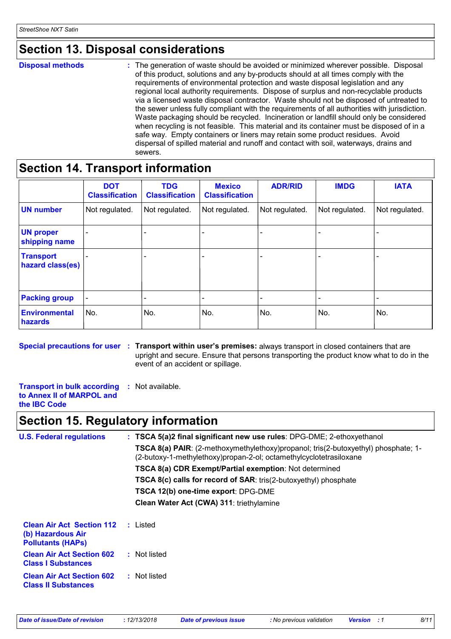# **Section 13. Disposal considerations**

**Disposal methods :**

The generation of waste should be avoided or minimized wherever possible. Disposal of this product, solutions and any by-products should at all times comply with the requirements of environmental protection and waste disposal legislation and any regional local authority requirements. Dispose of surplus and non-recyclable products via a licensed waste disposal contractor. Waste should not be disposed of untreated to the sewer unless fully compliant with the requirements of all authorities with jurisdiction. Waste packaging should be recycled. Incineration or landfill should only be considered when recycling is not feasible. This material and its container must be disposed of in a safe way. Empty containers or liners may retain some product residues. Avoid dispersal of spilled material and runoff and contact with soil, waterways, drains and sewers.

### **Section 14. Transport information**

|                                      | <b>DOT</b><br><b>Classification</b> | <b>TDG</b><br><b>Classification</b> | <b>Mexico</b><br><b>Classification</b> | <b>ADR/RID</b> | <b>IMDG</b>    | <b>IATA</b>    |
|--------------------------------------|-------------------------------------|-------------------------------------|----------------------------------------|----------------|----------------|----------------|
| <b>UN</b> number                     | Not regulated.                      | Not regulated.                      | Not regulated.                         | Not regulated. | Not regulated. | Not regulated. |
| <b>UN proper</b><br>shipping name    |                                     |                                     |                                        |                |                |                |
| <b>Transport</b><br>hazard class(es) |                                     |                                     |                                        |                |                |                |
| <b>Packing group</b>                 |                                     |                                     |                                        |                |                |                |
| <b>Environmental</b><br>hazards      | No.                                 | No.                                 | No.                                    | No.            | No.            | No.            |

**Special precautions for user** : Transport within user's premises: always transport in closed containers that are upright and secure. Ensure that persons transporting the product know what to do in the event of an accident or spillage.

**Transport in bulk according :** Not available.

```
to Annex II of MARPOL and 
the IBC Code
```
### **Section 15. Regulatory information**

| <b>U.S. Federal regulations</b>                                                   | : TSCA 5(a)2 final significant new use rules: DPG-DME; 2-ethoxyethanol                                                                                   |
|-----------------------------------------------------------------------------------|----------------------------------------------------------------------------------------------------------------------------------------------------------|
|                                                                                   | TSCA 8(a) PAIR: (2-methoxymethylethoxy)propanol; tris(2-butoxyethyl) phosphate; 1-<br>(2-butoxy-1-methylethoxy)propan-2-ol; octamethylcyclotetrasiloxane |
|                                                                                   | <b>TSCA 8(a) CDR Exempt/Partial exemption: Not determined</b>                                                                                            |
|                                                                                   | <b>TSCA 8(c) calls for record of SAR:</b> tris(2-butoxyethyl) phosphate                                                                                  |
|                                                                                   | TSCA 12(b) one-time export: DPG-DME                                                                                                                      |
|                                                                                   | Clean Water Act (CWA) 311: triethylamine                                                                                                                 |
| <b>Clean Air Act Section 112</b><br>(b) Hazardous Air<br><b>Pollutants (HAPS)</b> | : Listed                                                                                                                                                 |
| <b>Clean Air Act Section 602</b><br><b>Class I Substances</b>                     | : Not listed                                                                                                                                             |
| <b>Clean Air Act Section 602</b><br><b>Class II Substances</b>                    | : Not listed                                                                                                                                             |
|                                                                                   |                                                                                                                                                          |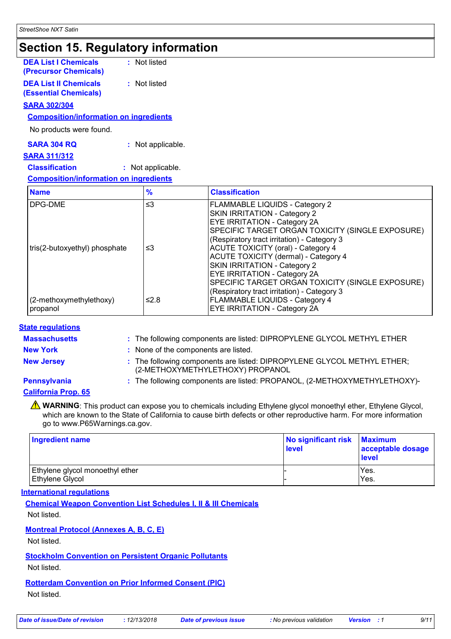### **Section 15. Regulatory information**

| <b>DEA List I Chemicals</b><br>(Precursor Chemicals)         | : Not listed      |                                                                                                                                      |  |
|--------------------------------------------------------------|-------------------|--------------------------------------------------------------------------------------------------------------------------------------|--|
| <b>DEA List II Chemicals</b><br><b>(Essential Chemicals)</b> | : Not listed      |                                                                                                                                      |  |
| <b>SARA 302/304</b>                                          |                   |                                                                                                                                      |  |
| <b>Composition/information on ingredients</b>                |                   |                                                                                                                                      |  |
| No products were found.                                      |                   |                                                                                                                                      |  |
| <b>SARA 304 RQ</b>                                           | : Not applicable. |                                                                                                                                      |  |
| <b>SARA 311/312</b>                                          |                   |                                                                                                                                      |  |
| <b>Classification</b>                                        | : Not applicable. |                                                                                                                                      |  |
| <b>Composition/information on ingredients</b>                |                   |                                                                                                                                      |  |
| <b>Name</b>                                                  | $\frac{9}{6}$     | <b>Classification</b>                                                                                                                |  |
| DPG-DME                                                      | ≤3                | FLAMMABLE LIQUIDS - Category 2<br><b>SKIN IRRITATION - Category 2</b><br>EYE IRRITATION - Category 2A<br>SPECIFIC TARGET ORGAN TOXIC |  |

|                               |      | <b>SKIN IRRITATION - Category 2</b>              |  |
|-------------------------------|------|--------------------------------------------------|--|
|                               |      | <b>EYE IRRITATION - Category 2A</b>              |  |
|                               |      | SPECIFIC TARGET ORGAN TOXICITY (SINGLE EXPOSURE) |  |
|                               |      | (Respiratory tract irritation) - Category 3      |  |
| tris(2-butoxyethyl) phosphate | ≤3   | <b>ACUTE TOXICITY (oral) - Category 4</b>        |  |
|                               |      | ACUTE TOXICITY (dermal) - Category 4             |  |
|                               |      | <b>SKIN IRRITATION - Category 2</b>              |  |
|                               |      | <b>EYE IRRITATION - Category 2A</b>              |  |
|                               |      | SPECIFIC TARGET ORGAN TOXICITY (SINGLE EXPOSURE) |  |
|                               |      | (Respiratory tract irritation) - Category 3      |  |
| (2-methoxymethylethoxy)       | ≤2.8 | <b>FLAMMABLE LIQUIDS - Category 4</b>            |  |
| propanol                      |      | <b>EYE IRRITATION - Category 2A</b>              |  |

#### **State regulations**

**Massachusetts :**

: The following components are listed: DIPROPYLENE GLYCOL METHYL ETHER

**New York :** None of the components are listed.

**New Jersey :** The following components are listed: DIPROPYLENE GLYCOL METHYL ETHER; (2-METHOXYMETHYLETHOXY) PROPANOL

#### **Pennsylvania :** The following components are listed: PROPANOL, (2-METHOXYMETHYLETHOXY)-

**California Prop. 65**

**A** WARNING: This product can expose you to chemicals including Ethylene glycol monoethyl ether, Ethylene Glycol, which are known to the State of California to cause birth defects or other reproductive harm. For more information go to www.P65Warnings.ca.gov.

| <b>Ingredient name</b>                                    | No significant risk<br><b>level</b> | <b>Maximum</b><br>acceptable dosage<br><b>level</b> |
|-----------------------------------------------------------|-------------------------------------|-----------------------------------------------------|
| Ethylene glycol monoethyl ether<br><b>Ethylene Glycol</b> |                                     | Yes.<br>Yes.                                        |

#### **International regulations**

**Chemical Weapon Convention List Schedules I, II & III Chemicals**

Not listed.

#### **Montreal Protocol (Annexes A, B, C, E)**

Not listed.

#### **Stockholm Convention on Persistent Organic Pollutants**

Not listed.

#### **Rotterdam Convention on Prior Informed Consent (PIC)**

Not listed.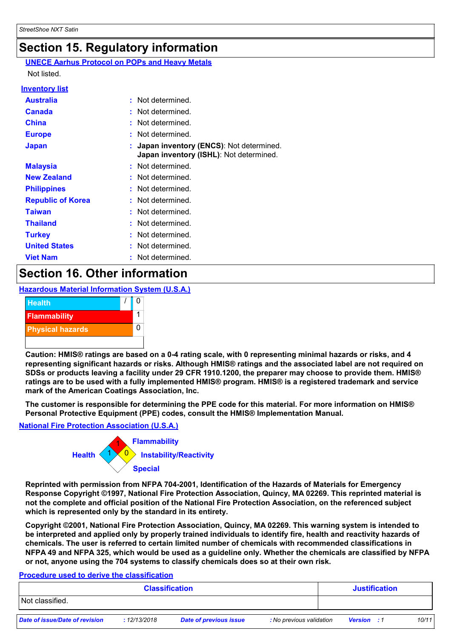# **Section 15. Regulatory information**

#### **UNECE Aarhus Protocol on POPs and Heavy Metals**

Not listed.

#### **Inventory list**

| <b>Australia</b>         | : Not determined.                                                                    |  |
|--------------------------|--------------------------------------------------------------------------------------|--|
| <b>Canada</b>            | : Not determined.                                                                    |  |
| <b>China</b>             | : Not determined.                                                                    |  |
| <b>Europe</b>            | : Not determined.                                                                    |  |
| <b>Japan</b>             | : Japan inventory (ENCS): Not determined.<br>Japan inventory (ISHL): Not determined. |  |
| <b>Malaysia</b>          | : Not determined.                                                                    |  |
| <b>New Zealand</b>       | : Not determined.                                                                    |  |
| <b>Philippines</b>       | : Not determined.                                                                    |  |
| <b>Republic of Korea</b> | : Not determined.                                                                    |  |
| <b>Taiwan</b>            | : Not determined.                                                                    |  |
| <b>Thailand</b>          | : Not determined.                                                                    |  |
| <b>Turkey</b>            | : Not determined.                                                                    |  |
| <b>United States</b>     | : Not determined.                                                                    |  |
| <b>Viet Nam</b>          | Not determined.                                                                      |  |

### **Section 16. Other information**

#### **Hazardous Material Information System (U.S.A.)**



**Caution: HMIS® ratings are based on a 0-4 rating scale, with 0 representing minimal hazards or risks, and 4 representing significant hazards or risks. Although HMIS® ratings and the associated label are not required on SDSs or products leaving a facility under 29 CFR 1910.1200, the preparer may choose to provide them. HMIS® ratings are to be used with a fully implemented HMIS® program. HMIS® is a registered trademark and service mark of the American Coatings Association, Inc.**

**The customer is responsible for determining the PPE code for this material. For more information on HMIS® Personal Protective Equipment (PPE) codes, consult the HMIS® Implementation Manual.**

#### **National Fire Protection Association (U.S.A.)**



**Reprinted with permission from NFPA 704-2001, Identification of the Hazards of Materials for Emergency Response Copyright ©1997, National Fire Protection Association, Quincy, MA 02269. This reprinted material is not the complete and official position of the National Fire Protection Association, on the referenced subject which is represented only by the standard in its entirety.**

**Copyright ©2001, National Fire Protection Association, Quincy, MA 02269. This warning system is intended to be interpreted and applied only by properly trained individuals to identify fire, health and reactivity hazards of chemicals. The user is referred to certain limited number of chemicals with recommended classifications in NFPA 49 and NFPA 325, which would be used as a guideline only. Whether the chemicals are classified by NFPA or not, anyone using the 704 systems to classify chemicals does so at their own risk.**

#### **Procedure used to derive the classification**

| <b>Classification</b>          |             |                        |                          | <b>Justification</b> |       |
|--------------------------------|-------------|------------------------|--------------------------|----------------------|-------|
| Not classified.                |             |                        |                          |                      |       |
| Date of issue/Date of revision | :12/13/2018 | Date of previous issue | : No previous validation | <b>Version</b> : 1   | 10/11 |